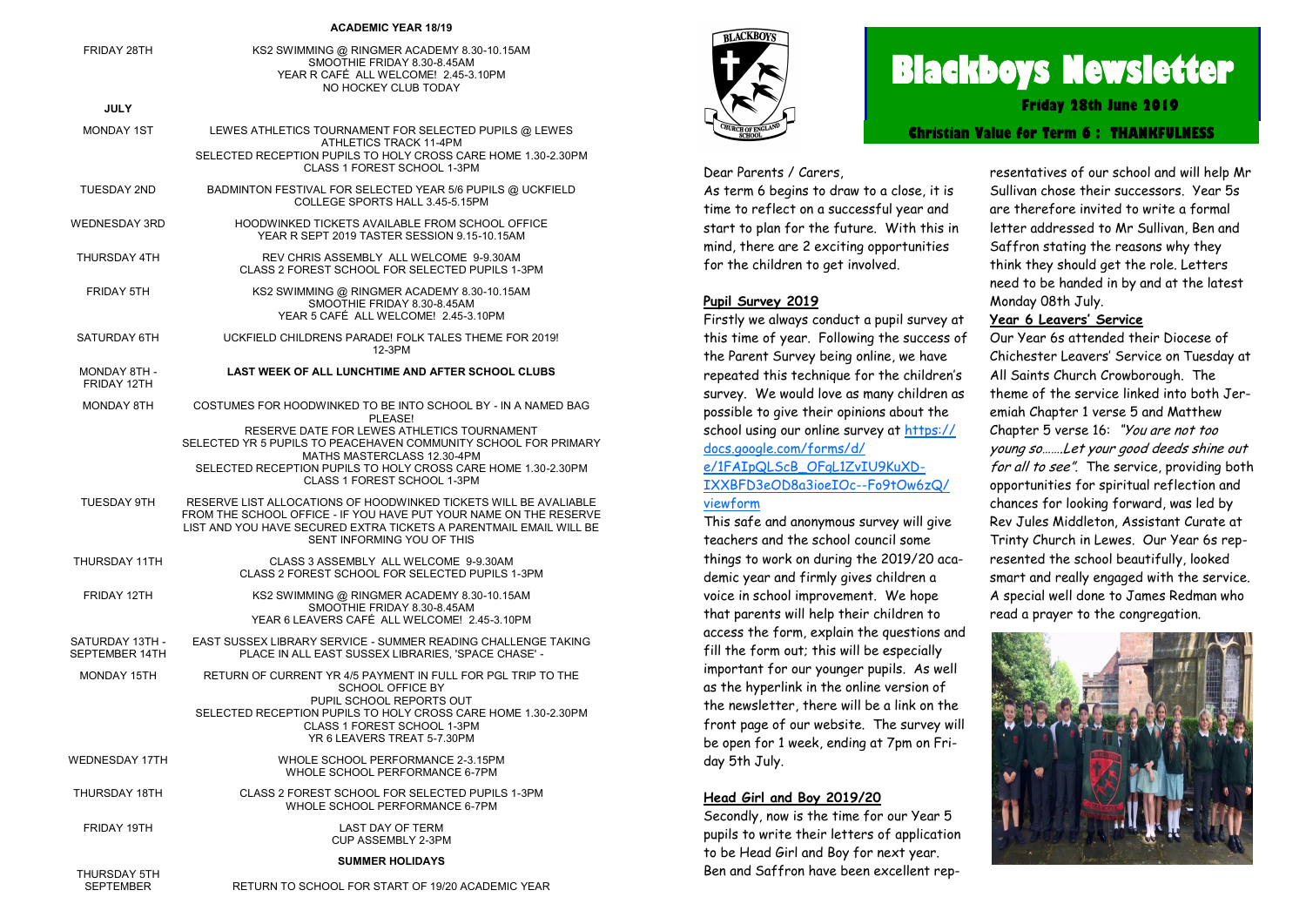#### **ACADEMIC YEAR 18/19**

| FRIDAY 28TH                       | KS2 SWIMMING @ RINGMER ACADEMY 8.30-10.15AM<br>SMOOTHIE FRIDAY 8.30-8.45AM<br>YEAR R CAFÉ ALL WELCOME! 2.45-3.10PM<br>NO HOCKEY CLUB TODAY                                                                                                |
|-----------------------------------|-------------------------------------------------------------------------------------------------------------------------------------------------------------------------------------------------------------------------------------------|
| <b>JULY</b>                       |                                                                                                                                                                                                                                           |
| MONDAY 1ST                        | LEWES ATHLETICS TOURNAMENT FOR SELECTED PUPILS @ LEWES<br>ATHLETICS TRACK 11-4PM                                                                                                                                                          |
|                                   | SELECTED RECEPTION PUPILS TO HOLY CROSS CARE HOME 1.30-2.30PM<br>CLASS 1 FOREST SCHOOL 1-3PM                                                                                                                                              |
| <b>TUESDAY 2ND</b>                | BADMINTON FESTIVAL FOR SELECTED YEAR 5/6 PUPILS @ UCKFIELD<br>COLLEGE SPORTS HALL 3.45-5.15PM                                                                                                                                             |
| <b>WEDNESDAY 3RD</b>              | HOODWINKED TICKETS AVAILABLE FROM SCHOOL OFFICE<br>YEAR R SEPT 2019 TASTER SESSION 9.15-10.15AM                                                                                                                                           |
| THURSDAY 4TH                      | REV CHRIS ASSEMBLY ALL WELCOME 9-9.30AM<br>CLASS 2 FOREST SCHOOL FOR SELECTED PUPILS 1-3PM                                                                                                                                                |
| <b>FRIDAY 5TH</b>                 | KS2 SWIMMING @ RINGMER ACADEMY 8.30-10.15AM<br>SMOOTHIE FRIDAY 8.30-8.45AM<br>YEAR 5 CAFÉ ALL WELCOME! 2.45-3.10PM                                                                                                                        |
| SATURDAY 6TH                      | UCKFIELD CHILDRENS PARADE! FOLK TALES THEME FOR 2019!<br>12-3PM                                                                                                                                                                           |
| MONDAY 8TH -<br>FRIDAY 12TH       | LAST WEEK OF ALL LUNCHTIME AND AFTER SCHOOL CLUBS                                                                                                                                                                                         |
| MONDAY 8TH                        | COSTUMES FOR HOODWINKED TO BE INTO SCHOOL BY - IN A NAMED BAG<br>PLEASE!                                                                                                                                                                  |
|                                   | RESERVE DATE FOR LEWES ATHLETICS TOURNAMENT<br>SELECTED YR 5 PUPILS TO PEACEHAVEN COMMUNITY SCHOOL FOR PRIMARY                                                                                                                            |
|                                   | MATHS MASTERCLASS 12.30-4PM<br>SELECTED RECEPTION PUPILS TO HOLY CROSS CARE HOME 1.30-2.30PM<br>CLASS 1 FOREST SCHOOL 1-3PM                                                                                                               |
| TUESDAY 9TH                       | RESERVE LIST ALLOCATIONS OF HOODWINKED TICKETS WILL BE AVALIABLE<br>FROM THE SCHOOL OFFICE - IF YOU HAVE PUT YOUR NAME ON THE RESERVE<br>LIST AND YOU HAVE SECURED EXTRA TICKETS A PARENTMAIL EMAIL WILL BE<br>SENT INFORMING YOU OF THIS |
| THURSDAY 11TH                     | CLASS 3 ASSEMBLY ALL WELCOME 9-9.30AM<br>CLASS 2 FOREST SCHOOL FOR SELECTED PUPILS 1-3PM                                                                                                                                                  |
| FRIDAY 12TH                       | KS2 SWIMMING @ RINGMER ACADEMY 8.30-10.15AM<br>SMOOTHIE FRIDAY 8.30-8.45AM<br>YEAR 6 LEAVERS CAFÉ ALL WELCOME! 2.45-3.10PM                                                                                                                |
| SATURDAY 13TH -<br>SEPTEMBER 14TH | EAST SUSSEX LIBRARY SERVICE - SUMMER READING CHALLENGE TAKING<br>PLACE IN ALL EAST SUSSEX LIBRARIES. 'SPACE CHASE' -                                                                                                                      |
| MONDAY 15TH                       | RETURN OF CURRENT YR 4/5 PAYMENT IN FULL FOR PGL TRIP TO THE<br>SCHOOL OFFICE BY                                                                                                                                                          |
|                                   | PUPIL SCHOOL REPORTS OUT<br>SELECTED RECEPTION PUPILS TO HOLY CROSS CARE HOME 1.30-2.30PM<br>CLASS 1 FOREST SCHOOL 1-3PM<br>YR 6 LEAVERS TREAT 5-7.30PM                                                                                   |
| <b>WEDNESDAY 17TH</b>             | WHOLE SCHOOL PERFORMANCE 2-3.15PM<br>WHOLE SCHOOL PERFORMANCE 6-7PM                                                                                                                                                                       |
| THURSDAY 18TH                     | CLASS 2 FOREST SCHOOL FOR SELECTED PUPILS 1-3PM<br>WHOLE SCHOOL PERFORMANCE 6-7PM                                                                                                                                                         |
| FRIDAY 19TH                       | LAST DAY OF TERM<br>CUP ASSEMBLY 2-3PM                                                                                                                                                                                                    |
| THURSDAY 5TH                      | <b>SUMMER HOLIDAYS</b>                                                                                                                                                                                                                    |

RETURN TO SCHOOL FOR START OF 19/20 ACADEMIC YEAR

SEPTEMBER



# **Blackboys Newsletter**

**Friday 28th June 2019**

**Christian Value for Term 6 : THANKFULNESS**

#### Dear Parents / Carers,

As term 6 begins to draw to a close, it is time to reflect on a successful year and start to plan for the future. With this in mind, there are 2 exciting opportunities for the children to get involved.

#### **Pupil Survey 2019**

Firstly we always conduct a pupil survey at this time of year. Following the success of the Parent Survey being online, we have repeated this technique for the children's survey. We would love as many children as possible to give their opinions about the school using our online survey at [https://](https://docs.google.com/forms/d/e/1FAIpQLScB_OFgL1ZvIU9KuXD-IXXBFD3eOD8a3ioeIOc--Fo9tOw6zQ/viewform) [docs.google.com/forms/d/](https://docs.google.com/forms/d/e/1FAIpQLScB_OFgL1ZvIU9KuXD-IXXBFD3eOD8a3ioeIOc--Fo9tOw6zQ/viewform) [e/1FAIpQLScB\\_OFgL1ZvIU9KuXD-](https://docs.google.com/forms/d/e/1FAIpQLScB_OFgL1ZvIU9KuXD-IXXBFD3eOD8a3ioeIOc--Fo9tOw6zQ/viewform)

# [IXXBFD3eOD8a3ioeIOc--Fo9tOw6zQ/](https://docs.google.com/forms/d/e/1FAIpQLScB_OFgL1ZvIU9KuXD-IXXBFD3eOD8a3ioeIOc--Fo9tOw6zQ/viewform) [viewform](https://docs.google.com/forms/d/e/1FAIpQLScB_OFgL1ZvIU9KuXD-IXXBFD3eOD8a3ioeIOc--Fo9tOw6zQ/viewform)

This safe and anonymous survey will give teachers and the school council some things to work on during the 2019/20 academic year and firmly gives children a voice in school improvement. We hope that parents will help their children to access the form, explain the questions and fill the form out; this will be especially important for our younger pupils. As well as the hyperlink in the online version of the newsletter, there will be a link on the front page of our website. The survey will be open for 1 week, ending at 7pm on Friday 5th July.

#### **Head Girl and Boy 2019/20**

Secondly, now is the time for our Year 5 pupils to write their letters of application to be Head Girl and Boy for next year. Ben and Saffron have been excellent representatives of our school and will help Mr Sullivan chose their successors. Year 5s are therefore invited to write a formal letter addressed to Mr Sullivan, Ben and Saffron stating the reasons why they think they should get the role. Letters need to be handed in by and at the latest Monday 08th July.

### **Year 6 Leavers' Service**

Our Year 6s attended their Diocese of Chichester Leavers' Service on Tuesday at All Saints Church Crowborough. The theme of the service linked into both Jeremiah Chapter 1 verse 5 and Matthew Chapter 5 verse 16: "You are not too young so…….Let your good deeds shine out for all to see". The service, providing both opportunities for spiritual reflection and chances for looking forward, was led by Rev Jules Middleton, Assistant Curate at Trinty Church in Lewes. Our Year 6s represented the school beautifully, looked smart and really engaged with the service. A special well done to James Redman who read a prayer to the congregation.